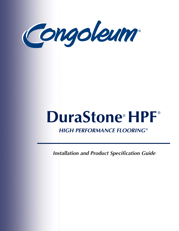

# **DuraStone**® **HPF**®

# **HIGH PERFORMANCE FLOORING**®

**Installation and Product Specification Guide**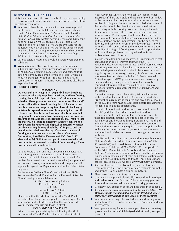# **DURASTONE HPF SAFETY**

Safety for yourself and others on the job site is your responsibility as a professional flooring installer. Read and observe the following safety precautions.

- Read and follow the safety precautions and warnings printed on the label of the installation accessory products being used. Obtain the appropriate MATERIAL SAFETY DATA SHEETS (MSDS) for information that may be required for products which may contain hazardous materials. DuraStone does not have an MSDS because it is classified as an "article" and not a chemical. MSDS are available for the adhesive. You may obtain an MSDS for the adhesive products by calling or writing to your Congoleum distributor or contacting: Congoleum Corporation, Installation Dept., PO Box 3127, Mercerville, NJ 08619.
- Various safety precautions should be taken when preparing subfloors.
- **Wood and concrete:** If working on wood or concrete subfloors, use proper safety precautions when sanding or grinding. Avoid creating dust. Concrete and cementitious patching compounds contain crystalline silica, which is a known carcinogen. Wood dust is classified as a nasal carcinogen in humans. Airborne wood dust may also be an explosive hazard.
- **Resilient Flooring**

#### **WARNING**

**Do not sand, dry sweep, dry scrape, drill, saw, beadblast, or mechanically chip or pulverize existing resilient flooring, backing, lining felt, asphaltic "cutback" adhesive, or other adhesive. These products may contain asbestos fibers and/ or crystalline silica. Avoid creating dust. Inhalation of such dust is a cancer and respiratory tract hazard. Smoking by individuals exposed to asbestos fibers greatly increases the risk of serious bodily harm. Unless positively certain that the product is a non-asbestos containing material, you must presume it contains asbestos. Regulations may require that the material be tested to determine asbestos content and may govern the removal and disposal of material. Whenever possible, existing flooring should be left in place and the new floor installed over the top. If you must remove old flooring material, contact your retailer or Congoleum Corporation, Installation Department, P.O. Box 3127, Mercerville, NJ 08619, for a copy of recommended work practices for the removal of resilient floor coverings. These practices should be followed.**

#### **NOTICE**

Various federal, state, and local government agencies have regulations governing the removal of in-place asbestos containing material. If you contemplate the removal of a resilient floor covering structure that contains (or is presumed to contain) asbestos, you must review and comply with all applicable regulations. Regulations outside the United States may vary.

Copies of the Resilient Floor Covering Institute (RFCI) Recommended Work Practices for the Removal of Resilient Floor Coverings are available from:

Resilient Floor Covering Institute 401 East Jefferson Street Suite 102 Rockville, MD 20850 (301) 340-8580

Please note that the RFCI Recommended Work Practices are subject to change as new practices are incorporated. It is your responsibility to determine that the Recommended Work Practices you use are those in effect.

#### **MOLD AND MILDEW ISSUES**

Prior to removing an existing floor following the RFCI Recommended Work Practices for Removal of Resilient

Floor Coverings (unless state or local law requires other measures), if there are visible indications of mold or mildew or the presence of a strong musty odor in the area where resilient flooring is to be removed or installed, the source of the problem should be identified and corrected before proceeding with the flooring work. In virtually all situations, if there is a mold issue, there is or has been an excessive moisture issue. Visible signs of mold or mildew (such as discoloration) can indicate the presence of mold or mildew on the subfloor, on the underlayment, on the back of the flooring, and sometimes even on the floor surface. If mold or mildew is discovered during the removal or installation of resilient flooring, all flooring work should stop until the mold or mildew problem (and any related moisture problem) has been addressed.

In areas where flooding has occurred, it is recommended that damaged flooring be removed following the RFCI Recommended Work Practices for Removal of Resilient Floor Coverings (unless state or local law requires other measures). Any underlayment and subfloor should be allowed to thoroughly dry and, if necessary, cleaned, disinfected, and otherwise remediated consistent with the U.S. Environmental Protection Agency (EPA) guidelines referenced below. Any structural damage or signs of mold or mildew must be corrected before reinstalling resilient flooring. This may include for example replacement of the underlayment and/ or subfloor.

For water damage caused by leaking fixtures, the source of the moisture leak must be located and corrected. Any structural damage must be repaired and any signs of mold or residual moisture must be addressed before replacing the resilient flooring in the affected area.

To deal with mold and mildew issues, you should refer to the EPA guidelines that address mold and mildew. Depending on the mold and mildew condition present, those remediation options range from cleanup measures using gloves and biocide to hiring a professional mold and mildew remediation contractor to address the condition. Remediation measures may require structural repairs such as replacing the underlayment and/or subfloor contaminated with mold and mildew as a result of prolonged exposure to moisture.

The EPA mold guidelines are contained in two publications "A Brief Guide to Mold, Moisture and Your Home" (EPA 402-K-02-003) and "Mold Remediation in Schools and Commercial Buildings" (EPA 402-K-01-001). Appendix B of the "Mold Remediation in Schools and Commercial Buildings" publication describes potential health effects from exposure to mold, such as allergic and asthma reactions and irritation to eyes, skin, nose and throat. These publications can be located on EPA's website at www.epa.gov/iaq/molds/

- Keep work areas free of obstructions, such as tools and scrap or loose tiles, and dispose of scrap materials promptly and properly to eliminate a slip or trip hazard.
- Always use the correct lifting practices.
- Use only UL<sup>®</sup> approved electrically powered tools **equipped with a dust collector.** Read and follow the safety precautions and recommended procedures for using power tools.
- Use heavy-duty extension cords and keep them in good repair.
- If using minerals spirits as suggested in this guide, **CAUTION: Minerals spirits is a flammable material. Read and follow cautionary instructions on the labels of these products.**
- Wear non-conducting rubber-soled shoes and use a ground fault interrupter (GFI) when using power equipment in damp or wet areas.
- Wear protective equipment when appropriate such as safety glasses, respirators, **NIOSH-designated** dust masks, kneepads, gloves, etc.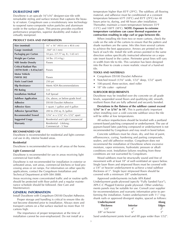# **DURASTONE HPF**

DuraStone is an upscale 16"x16" designer-size tile with remarkable styling and surface texture that captures the beauty of nature. Congoleum uses a revolutionary new technology to suspend nano-composite nylon particles and aluminum oxide in the surface glaze. This process provides excellent performance properties, superior durability and makes it virtually stainproof.

#### **PRODUCT DATA AND INFORMATION**

| Size (nominal)                                                       | $16''$ x $16''$ (40.6 cm x 40.6 cm)            |  |  |
|----------------------------------------------------------------------|------------------------------------------------|--|--|
| Gauge (nominal)                                                      | $.160''$ (4.1 mm)                              |  |  |
| <b>Packaging per Carton</b>                                          | 10 pcs. (17.77 sq. ft.; 1.65 m <sup>2</sup> )  |  |  |
| <b>Weight per Carton</b>                                             | 34 lbs. (15.4 kg.)                             |  |  |
| <b>NBS Smoke Density</b>                                             | Passes                                         |  |  |
| <b>Critical Radiant Flux</b><br>(ASTM E648 > 0.45w/cm <sup>2</sup> ) | Passes                                         |  |  |
| <b>Motor Vehicle</b><br><b>FMVSS 302</b>                             | Passes                                         |  |  |
| <b>Static Load Limit</b>                                             | 250 psi                                        |  |  |
| <b>Slip Resistance</b>                                               | Meets ADA Recommendations                      |  |  |
| <b>PEI Rating</b>                                                    | $3 - 4$                                        |  |  |
| <b>Installation Method</b>                                           | <b>Full Spread</b>                             |  |  |
| <b>Subfloor Application</b>                                          | On, above, or below-grade level                |  |  |
| <b>Adhesive</b>                                                      | <b>DS100 DuraSet Adhesive</b>                  |  |  |
| <b>Adhesive Sizes</b>                                                | 1 quart; 1 gallon and 4 gallon                 |  |  |
| <b>Adhesive Spread Rate</b>                                          | 200 to 250 sq. ft./gallon                      |  |  |
| <b>Recommended Trowel</b>                                            | 1/16" w x 1/32" d x 1/32" apart                |  |  |
| <b>Suggested Usage</b>                                               | Residential and Light Commercial               |  |  |
| Warranty                                                             | Residential - Lifelong;<br>Commercial - 5 Year |  |  |

#### **RECOMMENDED USE**

DuraStone is recommended for residential and light commercial use in dry, interior heated areas.

# **Residential**

DuraStone is recommended for use in all areas of the home.

#### **Light Commercial**

DuraStone is recommended for use in areas receiving light commercial foot traffic.

DuraStone is not recommended for installation in exterior or unheated areas, wet areas, commercial kitchens or food processing areas or on ramps. For information on other specific applications, contact the Congoleum Installation and Technical Department at 609-584-3888.

Areas receiving more concentrated traffic and or routine spills should be protected with floor polish and a regular maintenance schedule should be followed. (See Care and Maintenance).

# **GENERAL INFORMATION**

Install DuraStone with Congoleum DS100 DuraSet Adhesive.

Proper storage and handling is critical to ensure tiles do not become distorted prior to installation. Always store and transport cartons on a flat surface stacked no more than 10 cartons high.

The importance of proper temperature at the time of installation cannot be over-emphasized. Do not install at a temperature higher than 85°F (29°C). The subfloor, all flooring material, and adhesive must be conditioned at a constant temperature between 65°F (18°C) and 85°F (29°C) for 48 hours prior to, during, and 48 hours after installation. Thereafter, maintain a room temperature between 55°F (13°C) and 100°F (38°C). **NOTE: Exposure to extreme temperature variations can cause thermal expansion or contraction resulting in edge curl or gaps between tile.**

When installing tile from two or more cartons, check the code on the side of the cartons to ensure that the pattern and shade numbers are the same. Mix tiles from several cartons to achieve the best appearance. Arrows are printed on the back of each tile. Install tile with arrows pointed in the same direction unless specifically instructed otherwise on a separate insert found in the carton. Perimeter grout lines will vary in width from tile to tile. This variation has been designed into the floor to create a more realistic visual of a hand-set tile.

#### **TOOLS AND MATERIALS**

- Congoleum DS100 DuraSet Adhesive
- Notched trowel (1/16" wide, 1/32" deep, 1/32" apart)
- 100-pound, three-section, steel roller
- 18" tile cutter optional

# **SUBFLOOR REQUIREMENTS**

DuraStone may be installed over dry concrete on all grade levels, suspended wood floors and qualifying old, smooth, resilient floors that are fully adhered and securely bonded.

**Deviations in the flatness of the subfloor cannot exceed 1/16" in 1' or 3/16" in 10'.** This is particularly important when installing over a cold concrete subfloor since the tile will be stiffer at low temperatures.

All surface imperfections should be leveled with a portland cement-based patching compound or underlayment. The use of gypsum-based latex patching compound or underlayment is not recommended by Congoleum and may result in bond failure.

Concrete subfloors must be clean, dry, and free of paint, efflorescence, curing, hardening and parting compounds, sealers, and old adhesive residue. Congoleum does not recommend the installation of DuraStone where excessive moisture, vapor emissions, hydrostatic pressure or alkali conditions exist. Installation failures resulting from these conditions are not warranted by Congoleum.

Wood subfloors must be structurally sound and free of movement with at least 18" of well-ventilated air space below. Single layer floors and stripwood floors must be covered with a 1/4" or heavier underlayment to achieve a total subfloor thickness of 1". Single layer stripwood floors should be covered with a minimum 3/8" underlayment.

Approved underlayments include APA Rated Underlayment grade plywood (specify "Fully Sanded Face"), APA C-C Plugged Exterior grade plywood. Other underlayments panels may be suitable for use. Consult your supplier for recommendations and warranty information prior to performing the installation. Fasten underlayment with 1¼″ ringshank nails or approved divergent staples, spaced as follows:

| Underlayment     |                    | Along        |
|------------------|--------------------|--------------|
| <b>Thickness</b> | <b>Interior</b>    | <b>Edges</b> |
| 1/4''            | $4^{\prime\prime}$ | $\gamma$ "   |
| 3/8" or heavier  | 6''                | 3''          |

Sand underlayment joints level and fill gaps wider than 1/32".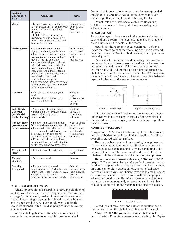| <b>Subfloor</b><br>Construction/<br><b>Materials</b>                        | <b>Comments</b>                                                                                                                                                                                                                                                                                                                                                                                                                                                                                     | <b>Notes</b>                                                                              |
|-----------------------------------------------------------------------------|-----------------------------------------------------------------------------------------------------------------------------------------------------------------------------------------------------------------------------------------------------------------------------------------------------------------------------------------------------------------------------------------------------------------------------------------------------------------------------------------------------|-------------------------------------------------------------------------------------------|
| Wood                                                                        | • Double layer construction over<br>joist or trusses on 16" centers with<br>at least 18" of well-ventilated<br>air space.<br>• Install 1/4" or heavier under-<br>layment over strip wood, single<br>layer wood floors and APA-rated<br>Sturd-I-Floor Systems.                                                                                                                                                                                                                                       | Subfloor must<br>be solid and<br>free of<br>movement.                                     |
| Underlayment                                                                | • APA underlayment grade<br>plywood with fully sanded face.<br>• Hardwood and veneer under-<br>layment panels such as Multiply,<br>HU 845 Tec-Ply and Ulay.<br>· Lauan plywood, particleboard,<br>oriented strand board and chip-<br>board create a higher risk for<br>installation and adhesive failure<br>and are not recommended unless<br>warranted by the panel<br>manufacturer or supplier.<br>• Not recommended over cement<br>backer-boards, glass mesh mortar<br>units or acoustical cork. | Install accord-<br>ing to panel<br>manufacturers'<br>written<br>instructions.             |
| Concrete                                                                    | • On, above and below-grade<br>level.<br>• Radiant-heated floors not to<br>exceed $85^{\circ}$ F (29 $^{\circ}$ C).                                                                                                                                                                                                                                                                                                                                                                                 | Moisture<br>vapor<br>emissions not<br>to exceed 5<br>pounds.                              |
| <b>Light Weight</b><br>Concrete<br>(Residential<br><b>Application only)</b> | • Minimum 100-pound density<br>• Installation over gypsum-based<br>acoustical toppings is not<br>recommended.                                                                                                                                                                                                                                                                                                                                                                                       | Confirm<br>adequate<br>adhesion to<br>substrate.                                          |
| <b>Resilient Floor</b><br>(See WARNING<br>in next column)                   | • Smooth, non-cushioned sheet<br>flooring and vinyl composition tile.<br>• Embossed non-cushioned and<br>thin cushioned vinyl flooring can<br>be prepared with embossing<br>leveler in residential applications.<br>• Do not install over soft, heavy<br>cushioned floors, self-adhering tile<br>or tile installed below grade level.                                                                                                                                                               | Must be single<br>layer, fully<br>adhered and<br>well bonded.<br>Remove wax<br>or polish. |
| Ceramic and<br><b>Stone</b>                                                 | • Ceramic, marble and granite.                                                                                                                                                                                                                                                                                                                                                                                                                                                                      | Fill grout joints<br>level.                                                               |
| Carpet/<br>Laminate                                                         | • Not recommended.                                                                                                                                                                                                                                                                                                                                                                                                                                                                                  | Remove                                                                                    |
| <b>Patching</b><br>Compound                                                 | • Portland cement-based<br>compound such as Ardex Feather<br>Finish, Mapei Plani-Patch or equal.<br>• Gypsum-based patching<br>compounds are not recommended.                                                                                                                                                                                                                                                                                                                                       | Refer to<br>manufacturers'<br>instructions for<br>use and<br>applications.                |

#### **EXISTING RESILIENT FLOORS**

Whenever possible, it is desirable to leave the old flooring in place with the last alternative being removal (See Warning on page 1). Suitable old, resilient floors should be smooth, non-cushioned, single layer, fully adhered, securely bonded, and in good condition. All floor polish, wax, and finish should be stripped with a liquid stripping solution following label instructions.

In residential applications, DuraStone can be installed over embossed non-cushioned and thin cushioned vinyl

flooring that is covered with wood underlayment (provided the subfloor is suspended wood) or prepared with a latexmodified portland cement-based embossing leveler.

Do not install over soft, heavy cushioned floors, tile installed on concrete below grade level, or existing selfadhered flooring.

#### **FLOOR LAYOUT**

To start the layout, place a mark in the center of the floor at each end of the room. Then connect the marks by snapping a chalk line down the center of the room.

Next divide the room into equal quadrants. To do this, locate the center point of the chalk line and snap a perpendicular line, using the 3-4-5 method or a carpenter square as a guide (Figure 1).

Make a dry layout in one quadrant along the center and perpendicular chalk lines. Measure the distance between the last whole tile and the wall. If the distance in either row is less than half a tile, adjust the starting point and snap a new chalk line one-half the dimension of a full tile (8") away from the original chalk line (Figure 2). This will provide a balanced layout with larger cut tile around the perimeter.



It is important to avoid positioning tile joints directly over underlayment joints or seams in existing floor coverings. If this should occur when laying out the installation, reposition the chalk lines.

#### **ADHESIVE APPLICATION**

Congoleum DS100 DuraSet Adhesive applied with a properly notched adhesive trowel is required for installing DuraStone over all approved subfloor surfaces.

The use of a high-quality, floor covering latex primer that is specifically designed to improve adhesion may be used over wood, porous concrete and patching compounds. The primer will help seal the surface and tie down dust that can interfere with the adhesive bond. Do not use paint primers.

**The recommended trowel notch size, 1/16" wide, 1/32" deep, 1/32" apart must be used** (Figure 3). Excessive amounts of adhesive applied with an improper trowel will delay drying time and can result in exudation (oozing up) of adhesive between tile in service. Insufficient coverage (normally caused by worn notches on adhesive trowels) will prevent proper adhesion or bond to the tile. When trowel notches become worn (occurs more frequently on concrete subfloors), they should be re-notched to the recommended size or replaced.



Figure 3 -Notched trowel.

Spread the adhesive over one-half of the subfloor and a few inches beyond the chalk line with a notched trowel.

**Allow DS100 Adhesive to dry completely to a tack** (approximately 45 to 60 minutes) before installing tile. Drying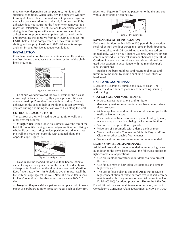time can vary depending on temperature, humidity and substrate conditions. When tacky dry, the adhesive will turn from light blue to clear. The final test is to place a finger into the tacky dry, clear adhesive and apply firm pressure. If the adhesive does not transfer to the finger when removed, it is ready for installation. Do not use fans to accelerate adhesive drying time. Fan drying will cause the top surface of the adhesive to dry prematurely, trapping residual moisture in and preventing the adhesive from fully curing. Tiles set into DS100 before it has completely dried may result in tile shifting and gapping. **Caution:** DS100 Adhesive is an eye and skin irritant. Provide adequate ventilation.

# **INSTALLATION**

Complete one-half of the room at a time. Carefully position the first tile into the adhesive at the intersection of the chalk lines (Figure 4).



Figure 4 - Positioning tile.

Continue working toward the walls. Position the tiles at a low angle into adhesive tightly against previous tiles with corners lined up. Press tiles firmly without sliding. Spread adhesive on the second half of the floor so it can dry while you are cutting and fitting the last row of tiles along the wall.

# **CUTTING DURASTONE TO FIT**

The last row of tiles will need to be cut to fit to walls and other vertical surfaces.

• **Straight Cuts -** Place loose tiles directly over the top of the last full row of tile making sure all edges are lined up. Using a whole tile as a measuring device, position one edge against the wall and mark the loose tile with a pencil along the opposite edge (Figure 5).



Next, place the marked tile on a cutting board. Using a carpenter square as a guide, score the pencil line deeply with a sharp knife. Break or cut tile along the score mark. **Caution:** Keep fingers away from knife blade to avoid injury. Install the tile with cut edge against the wall. **Note:** If a tile cutter is used for DuraStone, it must be able to accommodate a 16"x 16" tile.

**• Irregular Shapes -** Make a pattern or template out of heavy paper or cardboard to fit to irregular shapes such as door trim, pipes, etc. (Figure 6). Trace the pattern onto the tile and cut with a utility knife or coping saw.



# **IMMEDIATELY AFTER INSTALLATION**

Roll the entire floor with a 100 to 150-pound, three-section, steel roller. Roll the floor across tile joints in both directions.

Tile installed with DS100 Adhesive can be walked on immediately. Wait 48 hours before washing. Adhesive smears can be removed with mineral spirits or charcoal lighter fluid. **Caution:** Solvents are hazardous materials and should be used with caution in accordance with the manufacturer's label instructions.

Replace the base moldings and return appliances and furniture to the room by rolling or sliding it over strips of hardboard.

# **CARE AND MAINTENANCE**

DuraStone is extremely durable and easy to clean. The naturally textured surface glaze resists scratching, scuffing and staining.

# **GENERAL CARE AND MAINTENANCE**

- Protect against indentations and furniture damage by making sure furniture legs have large surface floor protectors.
- Mobile appliances and furniture should be equipped with easily swiveling casters.
- Place mats at outside entrances to prevent dirt, grit, sand, water, snow, and ice from being tracked onto the floor.
- Vacuum or sweep the floor regularly.
- Wipe up spills promptly with a damp cloth or mop.
- Wash the floor with Congoleum Bright 'N Easy No-Rinse Cleaner or other suitable floor cleaner.
- Sealers and buffing are not required or recommended.

# **LIGHT COMMERCIAL MAINTENANCE**

Additional protection is recommended in areas of high wear. In addition to the items listed above, the following applies to light commercial applications:

- Use plastic floor protectors under desk chairs to protect the floor.
- Use fatigue mats at hair salon workstations and similar high wear areas.
- The use of floor polish is optional. Areas that receive a high concentration of traffic or more frequent spills can be maintained with Congoleum Commercial Satin-Gloss Floor Polish (C3100) for added protection. **Do not buff the floor.**

For additional care and maintenance information, contact Congoleum's Consumer Affairs Department at 609-584-3000.